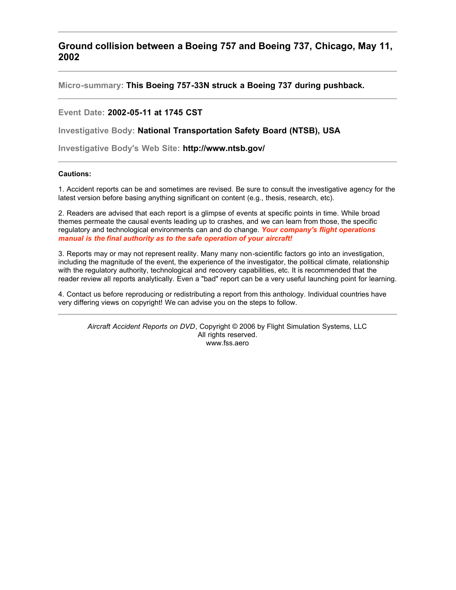**Ground collision between a Boeing 757 and Boeing 737, Chicago, May 11, 2002**

**Micro-summary: This Boeing 757-33N struck a Boeing 737 during pushback.**

## **Event Date: 2002-05-11 at 1745 CST**

**Investigative Body: National Transportation Safety Board (NTSB), USA**

**Investigative Body's Web Site: http://www.ntsb.gov/**

## **Cautions:**

1. Accident reports can be and sometimes are revised. Be sure to consult the investigative agency for the latest version before basing anything significant on content (e.g., thesis, research, etc).

2. Readers are advised that each report is a glimpse of events at specific points in time. While broad themes permeate the causal events leading up to crashes, and we can learn from those, the specific regulatory and technological environments can and do change. *Your company's flight operations manual is the final authority as to the safe operation of your aircraft!*

3. Reports may or may not represent reality. Many many non-scientific factors go into an investigation, including the magnitude of the event, the experience of the investigator, the political climate, relationship with the regulatory authority, technological and recovery capabilities, etc. It is recommended that the reader review all reports analytically. Even a "bad" report can be a very useful launching point for learning.

4. Contact us before reproducing or redistributing a report from this anthology. Individual countries have very differing views on copyright! We can advise you on the steps to follow.

*Aircraft Accident Reports on DVD*, Copyright © 2006 by Flight Simulation Systems, LLC All rights reserved. www.fss.aero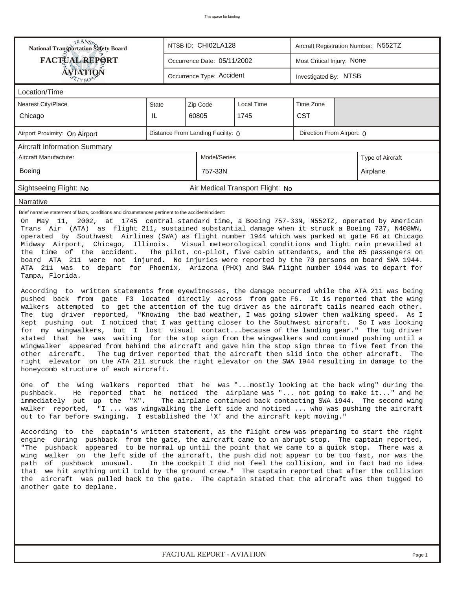| <b>National Transportation Safety Board</b><br>NTSB ID: CHI02LA128<br>Aircraft Registration Number: N552TZ                                                                                                                                                                                                                                                                                                                                                                                                                                                                                                                                                                                                                                                                                                                                                                                                                                                                                                                                                                                                                                                                                                                                                                                                                                                                                                                                                                                                                                                                                                                                                                                                                                                                                                                                                                                                                                                                                                                                                                                                                                                                                                                                                                                                                                                                                                                                                                                                                                                                                                                                                                                                                                                                                                                                                                                                                                                                                                                                                                                                                                                                  |                             |                             |                            |                                  |  |  |  |  |  |  |
|-----------------------------------------------------------------------------------------------------------------------------------------------------------------------------------------------------------------------------------------------------------------------------------------------------------------------------------------------------------------------------------------------------------------------------------------------------------------------------------------------------------------------------------------------------------------------------------------------------------------------------------------------------------------------------------------------------------------------------------------------------------------------------------------------------------------------------------------------------------------------------------------------------------------------------------------------------------------------------------------------------------------------------------------------------------------------------------------------------------------------------------------------------------------------------------------------------------------------------------------------------------------------------------------------------------------------------------------------------------------------------------------------------------------------------------------------------------------------------------------------------------------------------------------------------------------------------------------------------------------------------------------------------------------------------------------------------------------------------------------------------------------------------------------------------------------------------------------------------------------------------------------------------------------------------------------------------------------------------------------------------------------------------------------------------------------------------------------------------------------------------------------------------------------------------------------------------------------------------------------------------------------------------------------------------------------------------------------------------------------------------------------------------------------------------------------------------------------------------------------------------------------------------------------------------------------------------------------------------------------------------------------------------------------------------------------------------------------------------------------------------------------------------------------------------------------------------------------------------------------------------------------------------------------------------------------------------------------------------------------------------------------------------------------------------------------------------------------------------------------------------------------------------------------------------|-----------------------------|-----------------------------|----------------------------|----------------------------------|--|--|--|--|--|--|
| <b>FACTUAL REPORT</b>                                                                                                                                                                                                                                                                                                                                                                                                                                                                                                                                                                                                                                                                                                                                                                                                                                                                                                                                                                                                                                                                                                                                                                                                                                                                                                                                                                                                                                                                                                                                                                                                                                                                                                                                                                                                                                                                                                                                                                                                                                                                                                                                                                                                                                                                                                                                                                                                                                                                                                                                                                                                                                                                                                                                                                                                                                                                                                                                                                                                                                                                                                                                                       | Occurrence Date: 05/11/2002 |                             | Most Critical Injury: None |                                  |  |  |  |  |  |  |
| AVIATION<br>Occurrence Type: Accident<br>Investigated By: NTSB                                                                                                                                                                                                                                                                                                                                                                                                                                                                                                                                                                                                                                                                                                                                                                                                                                                                                                                                                                                                                                                                                                                                                                                                                                                                                                                                                                                                                                                                                                                                                                                                                                                                                                                                                                                                                                                                                                                                                                                                                                                                                                                                                                                                                                                                                                                                                                                                                                                                                                                                                                                                                                                                                                                                                                                                                                                                                                                                                                                                                                                                                                              |                             |                             |                            |                                  |  |  |  |  |  |  |
| Location/Time                                                                                                                                                                                                                                                                                                                                                                                                                                                                                                                                                                                                                                                                                                                                                                                                                                                                                                                                                                                                                                                                                                                                                                                                                                                                                                                                                                                                                                                                                                                                                                                                                                                                                                                                                                                                                                                                                                                                                                                                                                                                                                                                                                                                                                                                                                                                                                                                                                                                                                                                                                                                                                                                                                                                                                                                                                                                                                                                                                                                                                                                                                                                                               |                             |                             |                            |                                  |  |  |  |  |  |  |
| <b>Nearest City/Place</b>                                                                                                                                                                                                                                                                                                                                                                                                                                                                                                                                                                                                                                                                                                                                                                                                                                                                                                                                                                                                                                                                                                                                                                                                                                                                                                                                                                                                                                                                                                                                                                                                                                                                                                                                                                                                                                                                                                                                                                                                                                                                                                                                                                                                                                                                                                                                                                                                                                                                                                                                                                                                                                                                                                                                                                                                                                                                                                                                                                                                                                                                                                                                                   | <b>State</b>                | Zip Code                    |                            |                                  |  |  |  |  |  |  |
| Chicago                                                                                                                                                                                                                                                                                                                                                                                                                                                                                                                                                                                                                                                                                                                                                                                                                                                                                                                                                                                                                                                                                                                                                                                                                                                                                                                                                                                                                                                                                                                                                                                                                                                                                                                                                                                                                                                                                                                                                                                                                                                                                                                                                                                                                                                                                                                                                                                                                                                                                                                                                                                                                                                                                                                                                                                                                                                                                                                                                                                                                                                                                                                                                                     | IL                          | 60805<br><b>CST</b><br>1745 |                            |                                  |  |  |  |  |  |  |
| Distance From Landing Facility: 0<br>Direction From Airport: 0<br>Airport Proximity: On Airport                                                                                                                                                                                                                                                                                                                                                                                                                                                                                                                                                                                                                                                                                                                                                                                                                                                                                                                                                                                                                                                                                                                                                                                                                                                                                                                                                                                                                                                                                                                                                                                                                                                                                                                                                                                                                                                                                                                                                                                                                                                                                                                                                                                                                                                                                                                                                                                                                                                                                                                                                                                                                                                                                                                                                                                                                                                                                                                                                                                                                                                                             |                             |                             |                            |                                  |  |  |  |  |  |  |
| <b>Aircraft Information Summary</b>                                                                                                                                                                                                                                                                                                                                                                                                                                                                                                                                                                                                                                                                                                                                                                                                                                                                                                                                                                                                                                                                                                                                                                                                                                                                                                                                                                                                                                                                                                                                                                                                                                                                                                                                                                                                                                                                                                                                                                                                                                                                                                                                                                                                                                                                                                                                                                                                                                                                                                                                                                                                                                                                                                                                                                                                                                                                                                                                                                                                                                                                                                                                         |                             |                             |                            |                                  |  |  |  |  |  |  |
| <b>Aircraft Manufacturer</b><br>Model/Series<br>Type of Aircraft                                                                                                                                                                                                                                                                                                                                                                                                                                                                                                                                                                                                                                                                                                                                                                                                                                                                                                                                                                                                                                                                                                                                                                                                                                                                                                                                                                                                                                                                                                                                                                                                                                                                                                                                                                                                                                                                                                                                                                                                                                                                                                                                                                                                                                                                                                                                                                                                                                                                                                                                                                                                                                                                                                                                                                                                                                                                                                                                                                                                                                                                                                            |                             |                             |                            |                                  |  |  |  |  |  |  |
| Boeing                                                                                                                                                                                                                                                                                                                                                                                                                                                                                                                                                                                                                                                                                                                                                                                                                                                                                                                                                                                                                                                                                                                                                                                                                                                                                                                                                                                                                                                                                                                                                                                                                                                                                                                                                                                                                                                                                                                                                                                                                                                                                                                                                                                                                                                                                                                                                                                                                                                                                                                                                                                                                                                                                                                                                                                                                                                                                                                                                                                                                                                                                                                                                                      | 757-33N<br>Airplane         |                             |                            |                                  |  |  |  |  |  |  |
| Sightseeing Flight: No                                                                                                                                                                                                                                                                                                                                                                                                                                                                                                                                                                                                                                                                                                                                                                                                                                                                                                                                                                                                                                                                                                                                                                                                                                                                                                                                                                                                                                                                                                                                                                                                                                                                                                                                                                                                                                                                                                                                                                                                                                                                                                                                                                                                                                                                                                                                                                                                                                                                                                                                                                                                                                                                                                                                                                                                                                                                                                                                                                                                                                                                                                                                                      |                             |                             |                            | Air Medical Transport Flight: No |  |  |  |  |  |  |
| <b>Narrative</b>                                                                                                                                                                                                                                                                                                                                                                                                                                                                                                                                                                                                                                                                                                                                                                                                                                                                                                                                                                                                                                                                                                                                                                                                                                                                                                                                                                                                                                                                                                                                                                                                                                                                                                                                                                                                                                                                                                                                                                                                                                                                                                                                                                                                                                                                                                                                                                                                                                                                                                                                                                                                                                                                                                                                                                                                                                                                                                                                                                                                                                                                                                                                                            |                             |                             |                            |                                  |  |  |  |  |  |  |
| Brief narrative statement of facts, conditions and circumstances pertinent to the accident/incident:<br>On May 11, 2002, at 1745 central standard time, a Boeing 757-33N, N552TZ, operated by American<br>Trans Air (ATA) as flight 211, sustained substantial damage when it struck a Boeing 737, N408WN,<br>operated by Southwest Airlines (SWA) as flight number 1944 which was parked at gate F6 at Chicago<br>Midway Airport, Chicago, Illinois. Visual meteorological conditions and light rain prevailed at<br>The pilot, co-pilot, five cabin attendants, and the 85 passengers on<br>the time of the accident.<br>board ATA 211 were not injured. No injuries were reported by the 70 persons on board SWA 1944.<br>ATA 211 was to depart for Phoenix, Arizona (PHX) and SWA flight number 1944 was to depart for<br>Tampa, Florida.<br>According to written statements from eyewitnesses, the damage occurred while the ATA 211 was being<br>pushed back from gate F3 located directly across from gate F6. It is reported that the wing<br>walkers attempted to get the attention of the tug driver as the aircraft tails neared each other.<br>The tug driver reported, "Knowing the bad weather, I was going slower then walking speed. As I<br>kept pushing out I noticed that I was getting closer to the Southwest aircraft. So I was looking<br>for my wingwalkers, but I lost visual contactbecause of the landing gear." The tug driver<br>stated that he was waiting for the stop sign from the wingwalkers and continued pushing until a<br>wingwalker appeared from behind the aircraft and gave him the stop sign three to five feet from the<br>aircraft.<br>The tug driver reported that the aircraft then slid into the other aircraft.<br>other<br>The<br>right elevator on the ATA 211 struck the right elevator on the SWA 1944 resulting in damage to the<br>honeycomb structure of each aircraft.<br>One of the wing walkers reported that he was "mostly looking at the back wing" during the<br>He reported that he noticed the airplane was " not going to make it" and he<br>pushback.<br>The airplane continued back contacting SWA 1944. The second wing<br>immediately put up the "X".<br>walker reported, "I  was wingwalking the left side and noticed  who was pushing the aircraft<br>out to far before swinging. I established the 'X' and the aircraft kept moving."<br>According to the captain's written statement, as the flight crew was preparing to start the right<br>engine during pushback from the gate, the aircraft came to an abrupt stop. The captain reported,<br>"The pushback appeared to be normal up until the point that we came to a quick stop. There was a<br>wing walker on the left side of the aircraft, the push did not appear to be too fast, nor was the<br>path of pushback unusual. In the cockpit I did not feel the collision, and in fact had no idea<br>that we hit anything until told by the ground crew." The captain reported that after the collision<br>the aircraft was pulled back to the gate. The captain stated that the aircraft was then tugged to<br>another gate to deplane. |                             |                             |                            |                                  |  |  |  |  |  |  |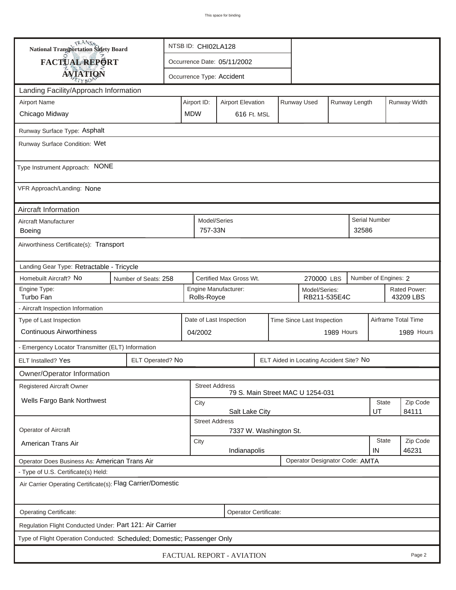| TRANSA<br>National Transportation Safety Board                                  |                                                                                       | NTSB ID: CHI02LA128                                                  |                           |                             |  |  |  |                    |                           |                     |  |
|---------------------------------------------------------------------------------|---------------------------------------------------------------------------------------|----------------------------------------------------------------------|---------------------------|-----------------------------|--|--|--|--------------------|---------------------------|---------------------|--|
| FACTUAL REPORT                                                                  |                                                                                       |                                                                      |                           | Occurrence Date: 05/11/2002 |  |  |  |                    |                           |                     |  |
| <b>AVIATION</b>                                                                 |                                                                                       |                                                                      | Occurrence Type: Accident |                             |  |  |  |                    |                           |                     |  |
| Landing Facility/Approach Information                                           |                                                                                       |                                                                      |                           |                             |  |  |  |                    |                           |                     |  |
| <b>Airport Name</b>                                                             |                                                                                       |                                                                      | Airport ID:               | Runway Width                |  |  |  |                    |                           |                     |  |
| Chicago Midway                                                                  | <b>MDW</b>                                                                            |                                                                      | 616 Ft. MSL               |                             |  |  |  |                    |                           |                     |  |
| Runway Surface Type: Asphalt                                                    |                                                                                       |                                                                      |                           |                             |  |  |  |                    |                           |                     |  |
| Runway Surface Condition: Wet                                                   |                                                                                       |                                                                      |                           |                             |  |  |  |                    |                           |                     |  |
| Type Instrument Approach: NONE                                                  |                                                                                       |                                                                      |                           |                             |  |  |  |                    |                           |                     |  |
| VFR Approach/Landing: None                                                      |                                                                                       |                                                                      |                           |                             |  |  |  |                    |                           |                     |  |
| Aircraft Information                                                            |                                                                                       |                                                                      |                           |                             |  |  |  |                    |                           |                     |  |
| Aircraft Manufacturer<br><b>Boeing</b>                                          |                                                                                       | Model/Series<br>757-33N<br>32586                                     |                           |                             |  |  |  |                    | Serial Number             |                     |  |
| Airworthiness Certificate(s): Transport                                         |                                                                                       |                                                                      |                           |                             |  |  |  |                    |                           |                     |  |
| Landing Gear Type: Retractable - Tricycle                                       |                                                                                       |                                                                      |                           |                             |  |  |  |                    |                           |                     |  |
| Homebuilt Aircraft? No                                                          | Certified Max Gross Wt.<br>Number of Engines: 2<br>Number of Seats: 258<br>270000 LBS |                                                                      |                           |                             |  |  |  |                    |                           |                     |  |
| Engine Type:<br>Turbo Fan                                                       |                                                                                       | Engine Manufacturer:<br>Model/Series:<br>Rolls-Royce<br>RB211-535E4C |                           |                             |  |  |  |                    | Rated Power:<br>43209 LBS |                     |  |
| - Aircraft Inspection Information                                               |                                                                                       |                                                                      |                           |                             |  |  |  |                    |                           |                     |  |
| Type of Last Inspection                                                         |                                                                                       | Date of Last Inspection<br>Time Since Last Inspection                |                           |                             |  |  |  |                    |                           | Airframe Total Time |  |
| <b>Continuous Airworthiness</b>                                                 |                                                                                       | 1989 Hours<br>04/2002                                                |                           |                             |  |  |  | 1989 Hours         |                           |                     |  |
| - Emergency Locator Transmitter (ELT) Information                               |                                                                                       |                                                                      |                           |                             |  |  |  |                    |                           |                     |  |
| ELT Installed? Yes                                                              | ELT Operated? No<br>ELT Aided in Locating Accident Site? No                           |                                                                      |                           |                             |  |  |  |                    |                           |                     |  |
| Owner/Operator Information                                                      |                                                                                       |                                                                      |                           |                             |  |  |  |                    |                           |                     |  |
| Registered Aircraft Owner                                                       | <b>Street Address</b><br>79 S. Main Street MAC U 1254-031                             |                                                                      |                           |                             |  |  |  |                    |                           |                     |  |
| Wells Fargo Bank Northwest                                                      |                                                                                       | <b>State</b><br>City                                                 |                           |                             |  |  |  |                    | Zip Code                  |                     |  |
|                                                                                 | Salt Lake City<br>UT<br><b>Street Address</b>                                         |                                                                      |                           |                             |  |  |  |                    |                           | 84111               |  |
| Operator of Aircraft                                                            | 7337 W. Washington St.                                                                |                                                                      |                           |                             |  |  |  |                    |                           |                     |  |
| American Trans Air                                                              | City<br>Indianapolis                                                                  |                                                                      |                           |                             |  |  |  | <b>State</b><br>IN | Zip Code<br>46231         |                     |  |
| Operator Designator Code: AMTA<br>Operator Does Business As: American Trans Air |                                                                                       |                                                                      |                           |                             |  |  |  |                    |                           |                     |  |
| - Type of U.S. Certificate(s) Held:                                             |                                                                                       |                                                                      |                           |                             |  |  |  |                    |                           |                     |  |
| Air Carrier Operating Certificate(s): Flag Carrier/Domestic                     |                                                                                       |                                                                      |                           |                             |  |  |  |                    |                           |                     |  |
| Operating Certificate:                                                          |                                                                                       |                                                                      |                           | Operator Certificate:       |  |  |  |                    |                           |                     |  |
| Regulation Flight Conducted Under: Part 121: Air Carrier                        |                                                                                       |                                                                      |                           |                             |  |  |  |                    |                           |                     |  |
| Type of Flight Operation Conducted: Scheduled; Domestic; Passenger Only         |                                                                                       |                                                                      |                           |                             |  |  |  |                    |                           |                     |  |
| FACTUAL REPORT - AVIATION<br>Page 2                                             |                                                                                       |                                                                      |                           |                             |  |  |  |                    |                           |                     |  |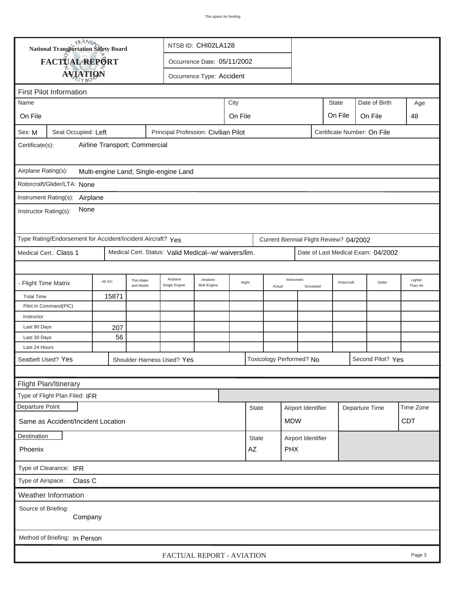| TRANSA<br>NTSB ID: CHI02LA128<br>National Transportation Safety Board                             |                                                             |         |                                                                                         |  |  |                                      |  |              |                                         |                         |                    |    |                |                             |            |
|---------------------------------------------------------------------------------------------------|-------------------------------------------------------------|---------|-----------------------------------------------------------------------------------------|--|--|--------------------------------------|--|--------------|-----------------------------------------|-------------------------|--------------------|----|----------------|-----------------------------|------------|
| FACTUAL REPORT<br>Occurrence Date: 05/11/2002                                                     |                                                             |         |                                                                                         |  |  |                                      |  |              |                                         |                         |                    |    |                |                             |            |
|                                                                                                   |                                                             |         |                                                                                         |  |  |                                      |  |              |                                         |                         |                    |    |                |                             |            |
| <b>AVIATION</b><br>Occurrence Type: Accident                                                      |                                                             |         |                                                                                         |  |  |                                      |  |              |                                         |                         |                    |    |                |                             |            |
| <b>First Pilot Information</b><br>City<br><b>State</b><br>Date of Birth<br>Name                   |                                                             |         |                                                                                         |  |  |                                      |  |              |                                         |                         |                    |    |                |                             |            |
|                                                                                                   |                                                             |         |                                                                                         |  |  |                                      |  |              |                                         |                         |                    |    |                |                             | Age        |
| On File                                                                                           | On File<br>On File<br>On File                               |         |                                                                                         |  |  |                                      |  |              |                                         |                         |                    | 48 |                |                             |            |
| Sex: M                                                                                            | Seat Occupied: Left                                         |         |                                                                                         |  |  | Principal Profession: Civilian Pilot |  |              |                                         |                         |                    |    |                | Certificate Number: On File |            |
| Airline Transport; Commercial<br>Certificate(s):                                                  |                                                             |         |                                                                                         |  |  |                                      |  |              |                                         |                         |                    |    |                |                             |            |
| Airplane Rating(s):<br>Multi-engine Land; Single-engine Land                                      |                                                             |         |                                                                                         |  |  |                                      |  |              |                                         |                         |                    |    |                |                             |            |
|                                                                                                   | Rotorcraft/Glider/LTA: None                                 |         |                                                                                         |  |  |                                      |  |              |                                         |                         |                    |    |                |                             |            |
|                                                                                                   | Instrument Rating(s):<br>Airplane                           |         |                                                                                         |  |  |                                      |  |              |                                         |                         |                    |    |                |                             |            |
|                                                                                                   |                                                             |         |                                                                                         |  |  |                                      |  |              |                                         |                         |                    |    |                |                             |            |
| None<br>Instructor Rating(s):                                                                     |                                                             |         |                                                                                         |  |  |                                      |  |              |                                         |                         |                    |    |                |                             |            |
|                                                                                                   | Type Rating/Endorsement for Accident/Incident Aircraft? Yes |         |                                                                                         |  |  |                                      |  |              | Current Biennial Flight Review? 04/2002 |                         |                    |    |                |                             |            |
|                                                                                                   | Medical Cert.: Class 1                                      |         |                                                                                         |  |  |                                      |  |              |                                         |                         |                    |    |                |                             |            |
| Medical Cert. Status: Valid Medical--w/ waivers/lim.<br>Date of Last Medical Exam: 04/2002        |                                                             |         |                                                                                         |  |  |                                      |  |              |                                         |                         |                    |    |                |                             |            |
| - Flight Time Matrix                                                                              |                                                             | All A/C | Airplane<br>Airplane<br>This Make<br>Night<br>Mult-Engine<br>and Model<br>Single Engine |  |  |                                      |  | Actual       | Instrument                              | Rotorcraft<br>Simulated |                    |    | Glider         | Lighter<br>Than Air         |            |
| <b>Total Time</b>                                                                                 |                                                             | 15871   |                                                                                         |  |  |                                      |  |              |                                         |                         |                    |    |                |                             |            |
|                                                                                                   | Pilot In Command(PIC)                                       |         |                                                                                         |  |  |                                      |  |              |                                         |                         |                    |    |                |                             |            |
| Instructor                                                                                        |                                                             |         |                                                                                         |  |  |                                      |  |              |                                         |                         |                    |    |                |                             |            |
| Last 90 Days                                                                                      |                                                             | 207     |                                                                                         |  |  |                                      |  |              |                                         |                         |                    |    |                |                             |            |
| Last 30 Days                                                                                      |                                                             | 56      |                                                                                         |  |  |                                      |  |              |                                         |                         |                    |    |                |                             |            |
| Last 24 Hours                                                                                     |                                                             |         |                                                                                         |  |  |                                      |  |              |                                         |                         |                    |    |                |                             |            |
| Seatbelt Used? Yes<br>Toxicology Performed? No<br>Second Pilot? Yes<br>Shoulder Harness Used? Yes |                                                             |         |                                                                                         |  |  |                                      |  |              |                                         |                         |                    |    |                |                             |            |
|                                                                                                   |                                                             |         |                                                                                         |  |  |                                      |  |              |                                         |                         |                    |    |                |                             |            |
| Flight Plan/Itinerary                                                                             |                                                             |         |                                                                                         |  |  |                                      |  |              |                                         |                         |                    |    |                |                             |            |
|                                                                                                   | Type of Flight Plan Filed: IFR                              |         |                                                                                         |  |  |                                      |  |              |                                         |                         |                    |    |                |                             |            |
| Departure Point                                                                                   |                                                             |         |                                                                                         |  |  |                                      |  | <b>State</b> |                                         | Airport Identifier      |                    |    | Departure Time |                             | Time Zone  |
| Same as Accident/Incident Location                                                                |                                                             |         |                                                                                         |  |  |                                      |  |              |                                         | <b>MDW</b>              |                    |    |                |                             | <b>CDT</b> |
| Destination                                                                                       |                                                             |         |                                                                                         |  |  |                                      |  | <b>State</b> |                                         |                         | Airport Identifier |    |                |                             |            |
| PHX<br>Phoenix<br>AZ                                                                              |                                                             |         |                                                                                         |  |  |                                      |  |              |                                         |                         |                    |    |                |                             |            |
| Type of Clearance: IFR                                                                            |                                                             |         |                                                                                         |  |  |                                      |  |              |                                         |                         |                    |    |                |                             |            |
| Type of Airspace:                                                                                 | Class C                                                     |         |                                                                                         |  |  |                                      |  |              |                                         |                         |                    |    |                |                             |            |
|                                                                                                   | Weather Information                                         |         |                                                                                         |  |  |                                      |  |              |                                         |                         |                    |    |                |                             |            |
| Source of Briefing:                                                                               |                                                             |         |                                                                                         |  |  |                                      |  |              |                                         |                         |                    |    |                |                             |            |
|                                                                                                   | Company                                                     |         |                                                                                         |  |  |                                      |  |              |                                         |                         |                    |    |                |                             |            |
|                                                                                                   |                                                             |         |                                                                                         |  |  |                                      |  |              |                                         |                         |                    |    |                |                             |            |
|                                                                                                   | Method of Briefing: In Person                               |         |                                                                                         |  |  |                                      |  |              |                                         |                         |                    |    |                |                             |            |
|                                                                                                   |                                                             |         |                                                                                         |  |  | FACTUAL REPORT - AVIATION            |  |              |                                         |                         |                    |    |                |                             | Page 3     |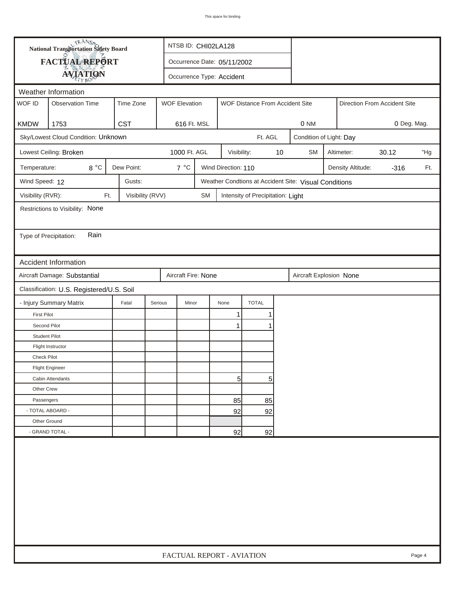| FACTUAL REPORT<br>Occurrence Date: 05/11/2002<br><b>AVIATION</b><br>Occurrence Type: Accident<br>Weather Information<br>WOF ID<br>Time Zone<br><b>Observation Time</b><br><b>WOF Elevation</b><br>WOF Distance From Accident Site<br>Direction From Accident Site<br><b>KMDW</b><br>1753<br><b>CST</b><br>616 Ft. MSL<br>0 Deg. Mag.<br>0 NM<br>Sky/Lowest Cloud Condition: Unknown<br>Ft. AGL<br>Condition of Light: Day<br>Lowest Ceiling: Broken<br>1000 Ft. AGL<br>$10$<br>30.12<br>Visibility:<br><b>SM</b><br>Altimeter:<br>8°C<br>Dew Point:<br>7 °C<br>Temperature:<br>Wind Direction: 110<br>Density Altitude:<br>$-316$<br>Wind Speed: 12<br>Gusts:<br>Weather Condtions at Accident Site: Visual Conditions<br>Visibility (RVR):<br>Visibility (RVV)<br>Ft.<br><b>SM</b><br>Intensity of Precipitation: Light<br>Restrictions to Visibility: None<br>Rain<br>Type of Precipitation:<br><b>Accident Information</b><br>Aircraft Damage: Substantial<br>Aircraft Fire: None<br>Aircraft Explosion None<br>Classification: U.S. Registered/U.S. Soil<br>- Injury Summary Matrix<br><b>TOTAL</b><br>Fatal<br>Serious<br>Minor<br>None<br><b>First Pilot</b><br>1<br>Second Pilot<br>1<br><b>Student Pilot</b><br>Flight Instructor<br>Check Pilot<br><b>Flight Engineer</b><br>5<br>5 <sup>1</sup><br>Cabin Attendants<br>Other Crew<br>Passengers |  | <b>National Transportation Safety Board</b> |  | NTSB ID: CHI02LA128       |  |    |    |  |  |  |  |  |        |
|-----------------------------------------------------------------------------------------------------------------------------------------------------------------------------------------------------------------------------------------------------------------------------------------------------------------------------------------------------------------------------------------------------------------------------------------------------------------------------------------------------------------------------------------------------------------------------------------------------------------------------------------------------------------------------------------------------------------------------------------------------------------------------------------------------------------------------------------------------------------------------------------------------------------------------------------------------------------------------------------------------------------------------------------------------------------------------------------------------------------------------------------------------------------------------------------------------------------------------------------------------------------------------------------------------------------------------------------------------------|--|---------------------------------------------|--|---------------------------|--|----|----|--|--|--|--|--|--------|
|                                                                                                                                                                                                                                                                                                                                                                                                                                                                                                                                                                                                                                                                                                                                                                                                                                                                                                                                                                                                                                                                                                                                                                                                                                                                                                                                                           |  |                                             |  |                           |  |    |    |  |  |  |  |  |        |
|                                                                                                                                                                                                                                                                                                                                                                                                                                                                                                                                                                                                                                                                                                                                                                                                                                                                                                                                                                                                                                                                                                                                                                                                                                                                                                                                                           |  |                                             |  |                           |  |    |    |  |  |  |  |  |        |
|                                                                                                                                                                                                                                                                                                                                                                                                                                                                                                                                                                                                                                                                                                                                                                                                                                                                                                                                                                                                                                                                                                                                                                                                                                                                                                                                                           |  |                                             |  |                           |  |    |    |  |  |  |  |  |        |
|                                                                                                                                                                                                                                                                                                                                                                                                                                                                                                                                                                                                                                                                                                                                                                                                                                                                                                                                                                                                                                                                                                                                                                                                                                                                                                                                                           |  |                                             |  |                           |  |    |    |  |  |  |  |  |        |
|                                                                                                                                                                                                                                                                                                                                                                                                                                                                                                                                                                                                                                                                                                                                                                                                                                                                                                                                                                                                                                                                                                                                                                                                                                                                                                                                                           |  |                                             |  |                           |  |    |    |  |  |  |  |  |        |
|                                                                                                                                                                                                                                                                                                                                                                                                                                                                                                                                                                                                                                                                                                                                                                                                                                                                                                                                                                                                                                                                                                                                                                                                                                                                                                                                                           |  |                                             |  |                           |  |    |    |  |  |  |  |  |        |
|                                                                                                                                                                                                                                                                                                                                                                                                                                                                                                                                                                                                                                                                                                                                                                                                                                                                                                                                                                                                                                                                                                                                                                                                                                                                                                                                                           |  |                                             |  |                           |  |    |    |  |  |  |  |  |        |
|                                                                                                                                                                                                                                                                                                                                                                                                                                                                                                                                                                                                                                                                                                                                                                                                                                                                                                                                                                                                                                                                                                                                                                                                                                                                                                                                                           |  |                                             |  |                           |  |    |    |  |  |  |  |  | "Hg    |
|                                                                                                                                                                                                                                                                                                                                                                                                                                                                                                                                                                                                                                                                                                                                                                                                                                                                                                                                                                                                                                                                                                                                                                                                                                                                                                                                                           |  | Ft.                                         |  |                           |  |    |    |  |  |  |  |  |        |
|                                                                                                                                                                                                                                                                                                                                                                                                                                                                                                                                                                                                                                                                                                                                                                                                                                                                                                                                                                                                                                                                                                                                                                                                                                                                                                                                                           |  |                                             |  |                           |  |    |    |  |  |  |  |  |        |
|                                                                                                                                                                                                                                                                                                                                                                                                                                                                                                                                                                                                                                                                                                                                                                                                                                                                                                                                                                                                                                                                                                                                                                                                                                                                                                                                                           |  |                                             |  |                           |  |    |    |  |  |  |  |  |        |
|                                                                                                                                                                                                                                                                                                                                                                                                                                                                                                                                                                                                                                                                                                                                                                                                                                                                                                                                                                                                                                                                                                                                                                                                                                                                                                                                                           |  |                                             |  |                           |  |    |    |  |  |  |  |  |        |
|                                                                                                                                                                                                                                                                                                                                                                                                                                                                                                                                                                                                                                                                                                                                                                                                                                                                                                                                                                                                                                                                                                                                                                                                                                                                                                                                                           |  |                                             |  |                           |  |    |    |  |  |  |  |  |        |
|                                                                                                                                                                                                                                                                                                                                                                                                                                                                                                                                                                                                                                                                                                                                                                                                                                                                                                                                                                                                                                                                                                                                                                                                                                                                                                                                                           |  |                                             |  |                           |  |    |    |  |  |  |  |  |        |
|                                                                                                                                                                                                                                                                                                                                                                                                                                                                                                                                                                                                                                                                                                                                                                                                                                                                                                                                                                                                                                                                                                                                                                                                                                                                                                                                                           |  |                                             |  |                           |  |    |    |  |  |  |  |  |        |
|                                                                                                                                                                                                                                                                                                                                                                                                                                                                                                                                                                                                                                                                                                                                                                                                                                                                                                                                                                                                                                                                                                                                                                                                                                                                                                                                                           |  |                                             |  |                           |  |    |    |  |  |  |  |  |        |
|                                                                                                                                                                                                                                                                                                                                                                                                                                                                                                                                                                                                                                                                                                                                                                                                                                                                                                                                                                                                                                                                                                                                                                                                                                                                                                                                                           |  |                                             |  |                           |  |    |    |  |  |  |  |  |        |
|                                                                                                                                                                                                                                                                                                                                                                                                                                                                                                                                                                                                                                                                                                                                                                                                                                                                                                                                                                                                                                                                                                                                                                                                                                                                                                                                                           |  |                                             |  |                           |  |    |    |  |  |  |  |  |        |
|                                                                                                                                                                                                                                                                                                                                                                                                                                                                                                                                                                                                                                                                                                                                                                                                                                                                                                                                                                                                                                                                                                                                                                                                                                                                                                                                                           |  |                                             |  |                           |  |    |    |  |  |  |  |  |        |
|                                                                                                                                                                                                                                                                                                                                                                                                                                                                                                                                                                                                                                                                                                                                                                                                                                                                                                                                                                                                                                                                                                                                                                                                                                                                                                                                                           |  |                                             |  |                           |  |    |    |  |  |  |  |  |        |
|                                                                                                                                                                                                                                                                                                                                                                                                                                                                                                                                                                                                                                                                                                                                                                                                                                                                                                                                                                                                                                                                                                                                                                                                                                                                                                                                                           |  |                                             |  |                           |  |    |    |  |  |  |  |  |        |
|                                                                                                                                                                                                                                                                                                                                                                                                                                                                                                                                                                                                                                                                                                                                                                                                                                                                                                                                                                                                                                                                                                                                                                                                                                                                                                                                                           |  |                                             |  |                           |  |    |    |  |  |  |  |  |        |
|                                                                                                                                                                                                                                                                                                                                                                                                                                                                                                                                                                                                                                                                                                                                                                                                                                                                                                                                                                                                                                                                                                                                                                                                                                                                                                                                                           |  |                                             |  |                           |  |    |    |  |  |  |  |  |        |
|                                                                                                                                                                                                                                                                                                                                                                                                                                                                                                                                                                                                                                                                                                                                                                                                                                                                                                                                                                                                                                                                                                                                                                                                                                                                                                                                                           |  |                                             |  |                           |  |    |    |  |  |  |  |  |        |
|                                                                                                                                                                                                                                                                                                                                                                                                                                                                                                                                                                                                                                                                                                                                                                                                                                                                                                                                                                                                                                                                                                                                                                                                                                                                                                                                                           |  |                                             |  |                           |  |    |    |  |  |  |  |  |        |
|                                                                                                                                                                                                                                                                                                                                                                                                                                                                                                                                                                                                                                                                                                                                                                                                                                                                                                                                                                                                                                                                                                                                                                                                                                                                                                                                                           |  |                                             |  |                           |  |    |    |  |  |  |  |  |        |
|                                                                                                                                                                                                                                                                                                                                                                                                                                                                                                                                                                                                                                                                                                                                                                                                                                                                                                                                                                                                                                                                                                                                                                                                                                                                                                                                                           |  |                                             |  |                           |  |    |    |  |  |  |  |  |        |
|                                                                                                                                                                                                                                                                                                                                                                                                                                                                                                                                                                                                                                                                                                                                                                                                                                                                                                                                                                                                                                                                                                                                                                                                                                                                                                                                                           |  |                                             |  |                           |  | 85 | 85 |  |  |  |  |  |        |
| - TOTAL ABOARD -<br>92<br>92                                                                                                                                                                                                                                                                                                                                                                                                                                                                                                                                                                                                                                                                                                                                                                                                                                                                                                                                                                                                                                                                                                                                                                                                                                                                                                                              |  |                                             |  |                           |  |    |    |  |  |  |  |  |        |
| Other Ground                                                                                                                                                                                                                                                                                                                                                                                                                                                                                                                                                                                                                                                                                                                                                                                                                                                                                                                                                                                                                                                                                                                                                                                                                                                                                                                                              |  |                                             |  |                           |  |    |    |  |  |  |  |  |        |
| - GRAND TOTAL -<br>92<br>92                                                                                                                                                                                                                                                                                                                                                                                                                                                                                                                                                                                                                                                                                                                                                                                                                                                                                                                                                                                                                                                                                                                                                                                                                                                                                                                               |  |                                             |  |                           |  |    |    |  |  |  |  |  |        |
|                                                                                                                                                                                                                                                                                                                                                                                                                                                                                                                                                                                                                                                                                                                                                                                                                                                                                                                                                                                                                                                                                                                                                                                                                                                                                                                                                           |  |                                             |  | FACTUAL REPORT - AVIATION |  |    |    |  |  |  |  |  | Page 4 |